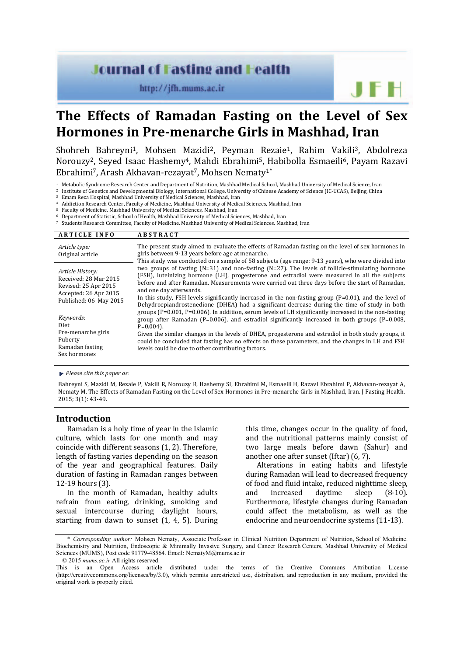# **Journal of Fasting and Health**

http://jfh.mums.ac.ir

# **The Effects of Ramadan Fasting on the Level of Sex Hormones in Pre-menarche Girls in Mashhad, Iran**

Shohreh Bahreyni<sup>1</sup>, Mohsen Mazidi<sup>2</sup>, Peyman Rezaie<sup>1</sup>, Rahim Vakili<sup>3</sup>, Abdolreza Norouzy2, Seyed Isaac Hashemy4, Mahdi Ebrahimi5, Habibolla Esmaeili6, Payam Razavi Ebrahimi7, Arash Akhavan-rezayat7, Mohsen Nematy1**\***

<sup>1</sup> Metabolic Syndrome Research Center and Department of Nutrition, Mashhad Medical School, Mashhad University of Medical Science, Iran

<sup>2</sup> Institute of Genetics and Developmental Biology, International College, University of Chinese Academy of Science (IC-UCAS), Beijing, China

Emam Reza Hospital, Mashhad University of Medical Sciences, Mashhad, Iran

<sup>4</sup> Addiction Research Center, Faculty of Medicine, Mashhad University of Medical Sciences, Mashhad, Iran

<sup>5</sup> Faculty of Medicine, Mashhad University of Medical Sciences, Mashhad, Iran

<sup>6</sup> Department of Statistic, School of Health, Mashhad University of Medical Sciences, Mashhad, Iran

<sup>7</sup> Students Research Committee, Faculty of Medicine, Mashhad University of Medical Sciences, Mashhad, Iran

| <b>ARTICLE INFO</b>                                                                                                  | <b>ABSTRACT</b>                                                                                                                                                                                                                                                                                                                                                                                                                                                                                                                                 |
|----------------------------------------------------------------------------------------------------------------------|-------------------------------------------------------------------------------------------------------------------------------------------------------------------------------------------------------------------------------------------------------------------------------------------------------------------------------------------------------------------------------------------------------------------------------------------------------------------------------------------------------------------------------------------------|
| Article type:<br>Original article                                                                                    | The present study aimed to evaluate the effects of Ramadan fasting on the level of sex hormones in<br>girls between 9-13 years before age at menarche.<br>This study was conducted on a sample of 58 subjects (age range: 9-13 years), who were divided into                                                                                                                                                                                                                                                                                    |
| Article History:<br>Received: 28 Mar 2015<br>Revised: 25 Apr 2015<br>Accepted: 26 Apr 2015<br>Published: 06 May 2015 | two groups of fasting $(N=31)$ and non-fasting $(N=27)$ . The levels of follicle-stimulating hormone<br>(FSH), luteinizing hormone (LH), progesterone and estradiol were measured in all the subjects<br>before and after Ramadan. Measurements were carried out three days before the start of Ramadan,<br>and one day afterwards.<br>In this study, FSH levels significantly increased in the non-fasting group $(P=0.01)$ , and the level of<br>Dehydroepiandrostenedione (DHEA) had a significant decrease during the time of study in both |
| Keywords:<br>Diet<br>Pre-menarche girls<br>Puberty<br>Ramadan fasting<br>Sex hormones                                | groups (P=0.001, P=0.006). In addition, serum levels of LH significantly increased in the non-fasting<br>group after Ramadan ( $P=0.006$ ), and estradiol significantly increased in both groups ( $P=0.008$ ,<br>$P=0.004$ ).<br>Given the similar changes in the levels of DHEA, progesterone and estradiol in both study groups, it<br>could be concluded that fasting has no effects on these parameters, and the changes in LH and FSH<br>levels could be due to other contributing factors.                                               |

*Please cite this paper as*:

Bahreyni S, Mazidi M, Rezaie P, Vakili R, Norouzy R, Hashemy SI, Ebrahimi M, Esmaeili H, Razavi Ebrahimi P, Akhavan-rezayat A, Nematy M. The Effects of Ramadan Fasting on the Level of Sex Hormones in Pre-menarche Girls in Mashhad, Iran. J Fasting Health. 2015; 3(1): 43-49.

# **Introduction**

Ramadan is a holy time of year in the Islamic culture, which lasts for one month and may coincide with different seasons (1, 2). Therefore, length of fasting varies depending on the season of the year and geographical features. Daily duration of fasting in Ramadan ranges between 12-19 hours (3).

In the month of Ramadan, healthy adults refrain from eating, drinking, smoking and sexual intercourse during daylight hours, starting from dawn to sunset (1, 4, 5). During this time, changes occur in the quality of food, and the nutritional patterns mainly consist of two large meals before dawn (Sahur) and another one after sunset (Iftar) (6, 7).

Alterations in eating habits and lifestyle during Ramadan will lead to decreased frequency of food and fluid intake, reduced nighttime sleep, and increased daytime sleep (8-10). Furthermore, lifestyle changes during Ramadan could affect the metabolism, as well as the endocrine and neuroendocrine systems (11-13).

<sup>\*</sup> *Corresponding author:* Mohsen Nematy, Associate Professor in Clinical Nutrition Department of Nutrition, School of Medicine. Biochemistry and Nutrition, Endoscopic & Minimally Invasive Surgery, and Cancer Research Centers, Mashhad University of Medical Sciences (MUMS), Post code 91779-48564. Email: NematyM@mums.ac.ir © 2015 *mums.ac.ir* All rights reserved.

This is an Open Access article distributed under the terms of the Creative Commons Attribution License (http://creativecommons.org/licenses/by/3.0), which permits unrestricted use, distribution, and reproduction in any medium, provided the original work is properly cited.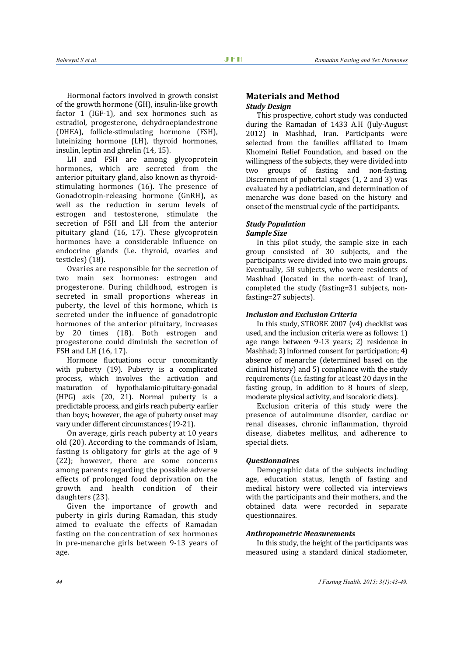Hormonal factors involved in growth consist of the growth hormone (GH), insulin-like growth factor 1 (IGF-1), and sex hormones such as estradiol, progesterone, dehydroepiandestrone (DHEA), follicle-stimulating hormone (FSH), luteinizing hormone (LH), thyroid hormones, insulin, leptin and ghrelin (14, 15).

LH and FSH are among glycoprotein hormones, which are secreted from the anterior pituitary gland, also known as thyroidstimulating hormones (16). The presence of Gonadotropin-releasing hormone (GnRH), as well as the reduction in serum levels of estrogen and testosterone, stimulate the secretion of FSH and LH from the anterior pituitary gland (16, 17). These glycoprotein hormones have a considerable influence on endocrine glands (i.e. thyroid, ovaries and testicles) (18).

Ovaries are responsible for the secretion of two main sex hormones: estrogen and progesterone. During childhood, estrogen is secreted in small proportions whereas in puberty, the level of this hormone, which is secreted under the influence of gonadotropic hormones of the anterior pituitary, increases by 20 times (18). Both estrogen and progesterone could diminish the secretion of FSH and LH (16, 17).

Hormone fluctuations occur concomitantly with puberty (19). Puberty is a complicated process, which involves the activation and maturation of hypothalamic-pituitary-gonadal (HPG) axis (20, 21). Normal puberty is a predictable process, and girls reach puberty earlier than boys; however, the age of puberty onset may vary under different circumstances (19-21).

On average, girls reach puberty at 10 years old (20). According to the commands of Islam, fasting is obligatory for girls at the age of 9 (22); however, there are some concerns among parents regarding the possible adverse effects of prolonged food deprivation on the growth and health condition of their daughters (23).

Given the importance of growth and puberty in girls during Ramadan, this study aimed to evaluate the effects of Ramadan fasting on the concentration of sex hormones in pre-menarche girls between 9-13 years of age.

# **Materials and Method**  *Study Design*

This prospective, cohort study was conducted during the Ramadan of 1433 A.H (July-August 2012) in Mashhad, Iran. Participants were selected from the families affiliated to Imam Khomeini Relief Foundation, and based on the willingness of the subjects, they were divided into two groups of fasting and non-fasting. Discernment of pubertal stages (1, 2 and 3) was evaluated by a pediatrician, and determination of menarche was done based on the history and onset of the menstrual cycle of the participants.

# *Study Population*

# *Sample Size*

In this pilot study, the sample size in each group consisted of 30 subjects, and the participants were divided into two main groups. Eventually, 58 subjects, who were residents of Mashhad (located in the north-east of Iran), completed the study (fasting=31 subjects, nonfasting=27 subjects).

# *Inclusion and Exclusion Criteria*

In this study, STROBE 2007 (v4) checklist was used, and the inclusion criteria were as follows: 1) age range between 9-13 years; 2) residence in Mashhad; 3) informed consent for participation; 4) absence of menarche (determined based on the clinical history) and 5) compliance with the study requirements (i.e. fasting for at least 20 days in the fasting group, in addition to 8 hours of sleep, moderate physical activity, and isocaloric diets).

Exclusion criteria of this study were the presence of autoimmune disorder, cardiac or renal diseases, chronic inflammation, thyroid disease, diabetes mellitus, and adherence to special diets.

#### *Questionnaires*

Demographic data of the subjects including age, education status, length of fasting and medical history were collected via interviews with the participants and their mothers, and the obtained data were recorded in separate questionnaires.

# *Anthropometric Measurements*

In this study, the height of the participants was measured using a standard clinical stadiometer,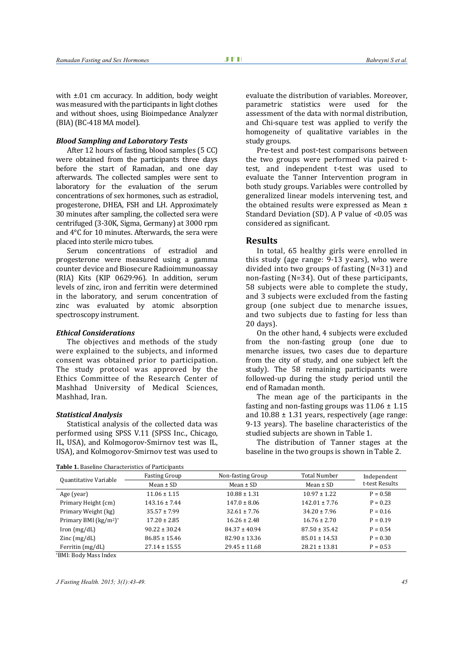with  $\pm 01$  cm accuracy. In addition, body weight was measured with the participants in light clothes and without shoes, using Bioimpedance Analyzer (BIA) (BC-418 MA model).

#### *Blood Sampling and Laboratory Tests*

After 12 hours of fasting, blood samples (5 CC) were obtained from the participants three days before the start of Ramadan, and one day afterwards. The collected samples were sent to laboratory for the evaluation of the serum concentrations of sex hormones, such as estradiol, progesterone, DHEA, FSH and LH. Approximately 30 minutes after sampling, the collected sera were centrifuged (3-30K, Sigma, Germany) at 3000 rpm and 4°C for 10 minutes. Afterwards, the sera were placed into sterile micro tubes.

Serum concentrations of estradiol and progesterone were measured using a gamma counter device and Biosecure Radioimmunoassay (RIA) Kits (KIP 0629:96). In addition, serum levels of zinc, iron and ferritin were determined in the laboratory, and serum concentration of zinc was evaluated by atomic absorption spectroscopy instrument.

#### *Ethical Considerations*

The objectives and methods of the study were explained to the subjects, and informed consent was obtained prior to participation. The study protocol was approved by the Ethics Committee of the Research Center of Mashhad University of Medical Sciences, Mashhad, Iran.

#### *Statistical Analysis*

Statistical analysis of the collected data was performed using SPSS V.11 (SPSS Inc., Chicago, IL, USA), and Kolmogorov-Smirnov test was IL, USA), and Kolmogorov-Smirnov test was used to evaluate the distribution of variables. Moreover, parametric statistics were used for the assessment of the data with normal distribution, and Chi-square test was applied to verify the homogeneity of qualitative variables in the study groups.

Pre-test and post-test comparisons between the two groups were performed via paired ttest, and independent t-test was used to evaluate the Tanner Intervention program in both study groups. Variables were controlled by generalized linear models intervening test, and the obtained results were expressed as Mean ± Standard Deviation (SD). A P value of <0.05 was considered as significant.

#### **Results**

In total, 65 healthy girls were enrolled in this study (age range: 9-13 years), who were divided into two groups of fasting (N=31) and non-fasting (N=34). Out of these participants, 58 subjects were able to complete the study, and 3 subjects were excluded from the fasting group (one subject due to menarche issues, and two subjects due to fasting for less than 20 days).

On the other hand, 4 subjects were excluded from the non-fasting group (one due to menarche issues, two cases due to departure from the city of study, and one subject left the study). The 58 remaining participants were followed-up during the study period until the end of Ramadan month.

The mean age of the participants in the fasting and non-fasting groups was  $11.06 \pm 1.15$ and  $10.88 \pm 1.31$  years, respectively (age range: 9-13 years). The baseline characteristics of the studied subjects are shown in Table 1.

The distribution of Tanner stages at the baseline in the two groups is shown in Table 2.

| Table 1. Baseline Characteristics of Participants |                      |                                                                                                                                                                                                 |                   |             |  |  |  |
|---------------------------------------------------|----------------------|-------------------------------------------------------------------------------------------------------------------------------------------------------------------------------------------------|-------------------|-------------|--|--|--|
|                                                   | <b>Fasting Group</b> | Non-fasting Group                                                                                                                                                                               | Total Number      | Independent |  |  |  |
| Quantitative Variable                             | Mean $\pm$ SD        | Mean $\pm$ SD<br>Mean $\pm$ SD<br>$10.88 \pm 1.31$<br>$10.97 \pm 1.22$<br>$147.0 \pm 8.06$<br>$142.01 \pm 7.76$<br>$32.61 \pm 7.76$<br>$34.20 \pm 7.96$<br>$16.26 \pm 2.48$<br>$16.76 \pm 2.70$ | t-test Results    |             |  |  |  |
| Age (year)                                        | $11.06 \pm 1.15$     |                                                                                                                                                                                                 |                   | $P = 0.58$  |  |  |  |
| Primary Height (cm)                               | $143.16 \pm 7.44$    |                                                                                                                                                                                                 |                   | $P = 0.23$  |  |  |  |
| Primary Weight (kg)                               | $35.57 \pm 7.99$     |                                                                                                                                                                                                 |                   | $P = 0.16$  |  |  |  |
| Primary BMI $(kg/m2)*$                            | $17.20 \pm 2.85$     |                                                                                                                                                                                                 |                   | $P = 0.19$  |  |  |  |
| lron (mg/dL)                                      | $90.22 \pm 30.24$    | $84.37 \pm 40.94$                                                                                                                                                                               | $87.50 \pm 35.42$ | $P = 0.54$  |  |  |  |
| $\text{Zinc}$ (mg/dL)                             | $86.85 \pm 15.46$    | $82.90 \pm 13.36$                                                                                                                                                                               | $85.01 \pm 14.53$ | $P = 0.30$  |  |  |  |
| Ferritin $(mg/dL)$                                | $27.14 \pm 15.55$    | $29.45 \pm 11.68$                                                                                                                                                                               | $28.21 \pm 13.81$ | $P = 0.53$  |  |  |  |

\*BMI: Body Mass Index

*J Fasting Health. 2015; 3(1):43-49. 45*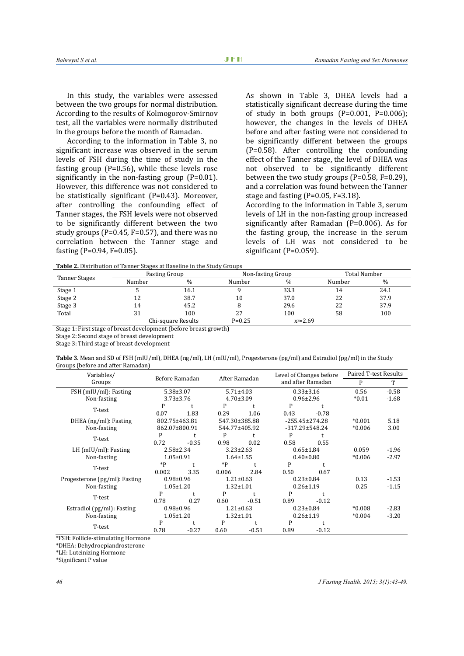In this study, the variables were assessed between the two groups for normal distribution. According to the results of Kolmogorov-Smirnov test, all the variables were normally distributed in the groups before the month of Ramadan.

According to the information in Table 3, no significant increase was observed in the serum levels of FSH during the time of study in the fasting group  $(P=0.56)$ , while these levels rose significantly in the non-fasting group (P=0.01). However, this difference was not considered to be statistically significant (P=0.43). Moreover, after controlling the confounding effect of Tanner stages, the FSH levels were not observed to be significantly different between the two study groups (P=0.45, F=0.57), and there was no correlation between the Tanner stage and fasting (P=0.94, F=0.05).

As shown in Table 3, DHEA levels had a statistically significant decrease during the time of study in both groups  $(P=0.001, P=0.006)$ ; however, the changes in the levels of DHEA before and after fasting were not considered to be significantly different between the groups (P=0.58). After controlling the confounding effect of the Tanner stage, the level of DHEA was not observed to be significantly different between the two study groups (P=0.58, F=0.29), and a correlation was found between the Tanner stage and fasting (P=0.05, F=3.18).

According to the information in Table 3, serum levels of LH in the non-fasting group increased significantly after Ramadan (P=0.006). As for the fasting group, the increase in the serum levels of LH was not considered to be significant (P=0.059).

| Table 2. Distribution of Tanner Stages at Baseline in the Study Groups |  |
|------------------------------------------------------------------------|--|
|                                                                        |  |

| <b>Table 2.</b> Distribution of Tanner Stages at Daschille in the Study Groups |        |                    |            |                   |        |              |  |
|--------------------------------------------------------------------------------|--------|--------------------|------------|-------------------|--------|--------------|--|
| Tanner Stages                                                                  |        | Fasting Group      |            | Non-fasting Group |        | Total Number |  |
|                                                                                | Number | $\%$               | Number     | $\%$              | Number | $\%$         |  |
| Stage 1                                                                        |        | 16.1               |            | 33.3              | 14     | 24.1         |  |
| Stage 2                                                                        |        | 38.7               | 10         | 37.0              | 22     | 37.9         |  |
| Stage 3                                                                        | 14     | 45.2               |            | 29.6              | 22     | 37.9         |  |
| Total                                                                          | 31     | 100                | 27         | 100               | 58     | 100          |  |
|                                                                                |        | Chi-square Results | $P = 0.25$ | $x^2 = 2.69$      |        |              |  |

Stage 1: First stage of breast development (before breast growth)

Stage 2: Second stage of breast development

Stage 3: Third stage of breast development

**Table 3**. Mean and SD of FSH (mIU/ml), DHEA (ng/ml), LH (mIU/ml), Progesterone (pg/ml) and Estradiol (pg/ml) in the Study Groups (before and after Ramadan)

| Variables/                    | Before Ramadan  |                                    | After Ramadan   |                 | Level of Changes before<br>and after Ramadan |                 | Paired T-test Results |         |
|-------------------------------|-----------------|------------------------------------|-----------------|-----------------|----------------------------------------------|-----------------|-----------------------|---------|
| Groups                        |                 |                                    |                 |                 |                                              |                 | P                     | T       |
| FSH (mIU/ml): Fasting         |                 | $5.38 \pm 3.07$                    |                 | $5.71 \pm 4.03$ | $0.33 \pm 3.16$                              |                 | 0.56                  | $-0.58$ |
| Non-fasting                   |                 | $3.73 \pm 3.76$                    |                 | $4.70 \pm 3.09$ | $0.96 \pm 2.96$                              |                 | $*0.01$               | $-1.68$ |
|                               | P               |                                    | P               |                 | P                                            |                 |                       |         |
| T-test                        | 0.07            | 1.83                               | 0.29            | 1.06            | 0.43                                         | $-0.78$         |                       |         |
| DHEA (ng/ml): Fasting         | 802.75±463.81   |                                    |                 | 547.30±385.88   | $-255.45 \pm 274.28$                         |                 | $*0.001$              | 5.18    |
| Non-fasting                   |                 | 862.07±800.91                      |                 | 544.77±405.92   | $-317.29 \pm 548.24$                         |                 | $*0.006$              | 3.00    |
| T-test                        | P               |                                    | P               |                 | P                                            |                 |                       |         |
|                               | 0.72            | $-0.35$                            | 0.98            | 0.02            | 0.58                                         | 0.55            |                       |         |
| $LH$ (mIU/ml): Fasting        |                 | $2.58 \pm 2.34$<br>$3.23 \pm 2.63$ |                 |                 | $0.65 \pm 1.84$                              |                 | 0.059                 | $-1.96$ |
| Non-fasting                   |                 | $1.05 \pm 0.91$                    |                 | $1.64 \pm 1.55$ |                                              | $0.40 \pm 0.80$ | $*0.006$              | $-2.97$ |
| T-test                        | $*p$            |                                    | $*p$            | t               | P                                            |                 |                       |         |
|                               | 0.002           | 3.35                               | 0.006           | 2.84            | 0.50                                         | 0.67            |                       |         |
| Progesterone (pg/ml): Fasting |                 | $0.98 \pm 0.96$                    |                 | $1.21 \pm 0.63$ | $0.23 \pm 0.84$                              |                 | 0.13                  | $-1.53$ |
| Non-fasting                   |                 | $1.05 \pm 1.20$                    |                 | $1.32 \pm 1.01$ | $0.26 \pm 1.19$                              |                 | 0.25                  | $-1.15$ |
| T-test                        | P               |                                    | P               |                 | P                                            |                 |                       |         |
|                               | 0.78            | 0.27                               | 0.60            | $-0.51$         | 0.89                                         | $-0.12$         |                       |         |
| Estradiol (pg/ml): Fasting    | $0.98 \pm 0.96$ |                                    | $1.21 \pm 0.63$ |                 | $0.23 \pm 0.84$                              |                 | $*0.008$              | $-2.83$ |
| Non-fasting                   | $1.05 \pm 1.20$ |                                    | $1.32 \pm 1.01$ |                 | $0.26 \pm 1.19$                              |                 | $*0.004$              | $-3.20$ |
| T-test                        | P               |                                    | P               |                 | P                                            |                 |                       |         |
|                               | 0.78            | $-0.27$                            | 0.60            | $-0.51$         | 0.89                                         | $-0.12$         |                       |         |

\*FSH: Follicle-stimulating Hormone

\*DHEA: Dehydroepiandrosterone

\*LH: Luteinizing Hormone

\*Significant P value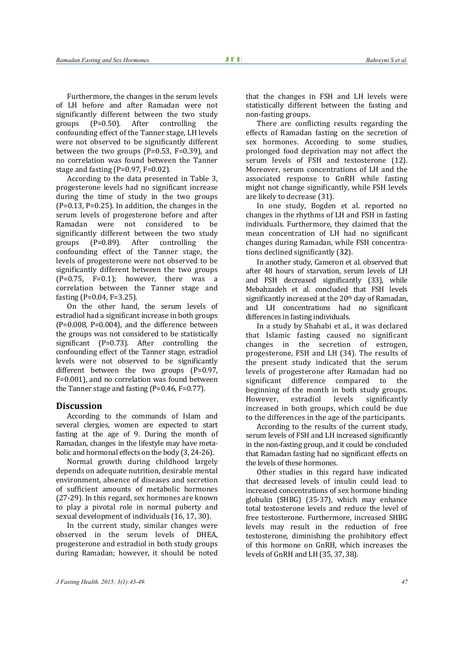Furthermore, the changes in the serum levels of LH before and after Ramadan were not significantly different between the two study groups (P=0.50). After controlling the confounding effect of the Tanner stage, LH levels were not observed to be significantly different between the two groups (P=0.53, F=0.39), and no correlation was found between the Tanner stage and fasting (P=0.97, F=0.02).

According to the data presented in Table 3, progesterone levels had no significant increase during the time of study in the two groups  $(P=0.13, P=0.25)$ . In addition, the changes in the serum levels of progesterone before and after Ramadan were not considered to be significantly different between the two study groups (P=0.89). After controlling the confounding effect of the Tanner stage, the levels of progesterone were not observed to be significantly different between the two groups  $(P=0.75, F=0.1)$ ; however, there was a correlation between the Tanner stage and fasting (P=0.04, F=3.25).

On the other hand, the serum levels of estradiol had a significant increase in both groups  $(P=0.008, P=0.004)$ , and the difference between the groups was not considered to be statistically significant (P=0.73). After controlling the confounding effect of the Tanner stage, estradiol levels were not observed to be significantly different between the two groups (P=0.97, F=0.001), and no correlation was found between the Tanner stage and fasting (P=0.46, F=0.77).

#### **Discussion**

According to the commands of Islam and several clergies, women are expected to start fasting at the age of 9. During the month of Ramadan, changes in the lifestyle may have metabolic and hormonal effects on the body (3, 24-26).

Normal growth during childhood largely depends on adequate nutrition, desirable mental environment, absence of diseases and secretion of sufficient amounts of metabolic hormones (27-29). In this regard, sex hormones are known to play a pivotal role in normal puberty and sexual development of individuals (16, 17, 30).

In the current study, similar changes were observed in the serum levels of DHEA, progesterone and estradiol in both study groups during Ramadan; however, it should be noted that the changes in FSH and LH levels were statistically different between the fasting and non-fasting groups.

There are conflicting results regarding the effects of Ramadan fasting on the secretion of sex hormones. According to some studies, prolonged food deprivation may not affect the serum levels of FSH and testosterone (12). Moreover, serum concentrations of LH and the associated response to GnRH while fasting might not change significantly, while FSH levels are likely to decrease (31).

In one study, Bogden et al. reported no changes in the rhythms of LH and FSH in fasting individuals. Furthermore, they claimed that the mean concentration of LH had no significant changes during Ramadan, while FSH concentrations declined significantly (32).

In another study, Cameron et al. observed that after 48 hours of starvation, serum levels of LH and FSH decreased significantly (33), while Mebahzadeh et al. concluded that FSH levels significantly increased at the 20<sup>th</sup> day of Ramadan, and LH concentrations had no significant differences in fasting individuals.

In a study by Shahabi et al., it was declared that Islamic fasting caused no significant changes in the secretion of estrogen, progesterone, FSH and LH (34). The results of the present study indicated that the serum levels of progesterone after Ramadan had no significant difference compared to the beginning of the month in both study groups. However, estradiol levels significantly increased in both groups, which could be due to the differences in the age of the participants.

According to the results of the current study, serum levels of FSH and LH increased significantly in the non-fasting group, and it could be concluded that Ramadan fasting had no significant effects on the levels of these hormones.

Other studies in this regard have indicated that decreased levels of insulin could lead to increased concentrations of sex hormone binding globulin (SHBG) (35-37), which may enhance total testosterone levels and reduce the level of free testosterone. Furthermore, increased SHBG levels may result in the reduction of free testosterone, diminishing the prohibitory effect of this hormone on GnRH, which increases the levels of GnRH and LH (35, 37, 38).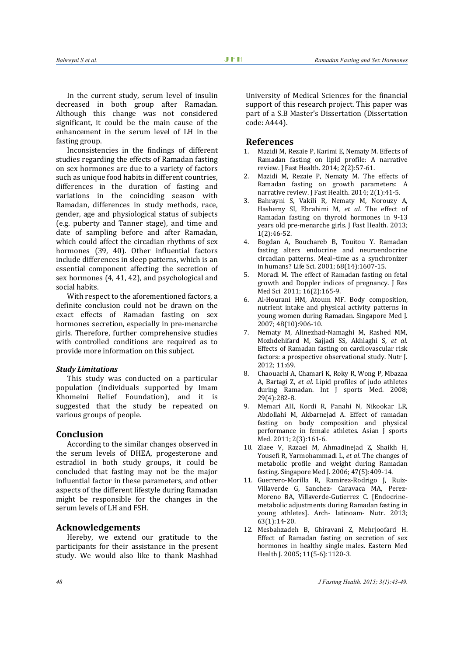In the current study, serum level of insulin decreased in both group after Ramadan. Although this change was not considered significant, it could be the main cause of the enhancement in the serum level of LH in the fasting group.

Inconsistencies in the findings of different studies regarding the effects of Ramadan fasting on sex hormones are due to a variety of factors such as unique food habits in different countries, differences in the duration of fasting and variations in the coinciding season with Ramadan, differences in study methods, race, gender, age and physiological status of subjects (e.g. puberty and Tanner stage), and time and date of sampling before and after Ramadan, which could affect the circadian rhythms of sex hormones (39, 40). Other influential factors include differences in sleep patterns, which is an essential component affecting the secretion of sex hormones (4, 41, 42), and psychological and social habits.

With respect to the aforementioned factors, a definite conclusion could not be drawn on the exact effects of Ramadan fasting on sex hormones secretion, especially in pre-menarche girls. Therefore, further comprehensive studies with controlled conditions are required as to provide more information on this subject.

#### *Study Limitations*

This study was conducted on a particular population (individuals supported by Imam Khomeini Relief Foundation), and it is suggested that the study be repeated on various groups of people.

### **Conclusion**

According to the similar changes observed in the serum levels of DHEA, progesterone and estradiol in both study groups, it could be concluded that fasting may not be the major influential factor in these parameters, and other aspects of the different lifestyle during Ramadan might be responsible for the changes in the serum levels of LH and FSH.

# **Acknowledgements**

Hereby, we extend our gratitude to the participants for their assistance in the present study. We would also like to thank Mashhad

University of Medical Sciences for the financial support of this research project. This paper was part of a S.B Master's Dissertation (Dissertation code: A444).

#### **References**

- 1. Mazidi M, Rezaie P, Karimi E, Nematy M. Effects of Ramadan fasting on lipid profile: A narrative review. J Fast Health. 2014; 2(2):57-61.
- 2. Mazidi M, Rezaie P, Nematy M. The effects of Ramadan fasting on growth parameters: A narrative review. J Fast Health. 2014; 2(1):41-5.
- 3. Bahrayni S, Vakili R, Nematy M, Norouzy A, Hashemy SI, Ebrahimi M, *et al*. The effect of Ramadan fasting on thyroid hormones in 9-13 years old pre-menarche girls. J Fast Health. 2013; 1(2):46-52.
- 4. Bogdan A, Bouchareb B, Touitou Y. Ramadan fasting alters endocrine and neuroendocrine circadian patterns. Meal–time as a synchronizer in humans? Life Sci. 2001; 68(14):1607-15.
- 5. Moradi M. The effect of Ramadan fasting on fetal growth and Doppler indices of pregnancy. J Res Med Sci 2011; 16(2):165-9.
- 6. Al-Hourani HM, Atoum MF. Body composition, nutrient intake and physical activity patterns in young women during Ramadan. Singapore Med J. 2007; 48(10):906-10.
- 7. Nematy M, Alinezhad-Namaghi M, Rashed MM, Mozhdehifard M, Sajjadi SS, Akhlaghi S, *et al*. Effects of Ramadan fasting on cardiovascular risk factors: a prospective observational study. Nutr J. 2012; 11:69.
- 8. Chaouachi A, Chamari K, Roky R, Wong P, Mbazaa A, Bartagi Z, *et al*. Lipid profiles of judo athletes during Ramadan. Int J sports Med. 2008; 29(4):282-8.
- 9. Memari AH, Kordi R, Panahi N, Nikookar LR, Abdollahi M, Akbarnejad A. Effect of ramadan fasting on body composition and physical performance in female athletes. Asian J sports Med. 2011; 2(3):161-6.
- 10. Ziaee V, Razaei M, Ahmadinejad Z, Shaikh H, Yousefi R, Yarmohammadi L, *et al*. The changes of metabolic profile and weight during Ramadan fasting. Singapore Med J. 2006; 47(5):409-14.
- 11. Guerrero-Morilla R, Ramirez-Rodrigo J, Ruiz-Villaverde G, Sanchez- Caravaca MA, Perez-Moreno BA, Villaverde-Gutierrez C. [Endocrinemetabolic adjustments during Ramadan fasting in young athletes]. Arch- latinoam- Nutr. 2013; 63(1):14-20.
- 12. Mesbahzadeh B, Ghiravani Z, Mehrjoofard H. Effect of Ramadan fasting on secretion of sex hormones in healthy single males. Eastern Med Health J. 2005; 11(5-6):1120-3.